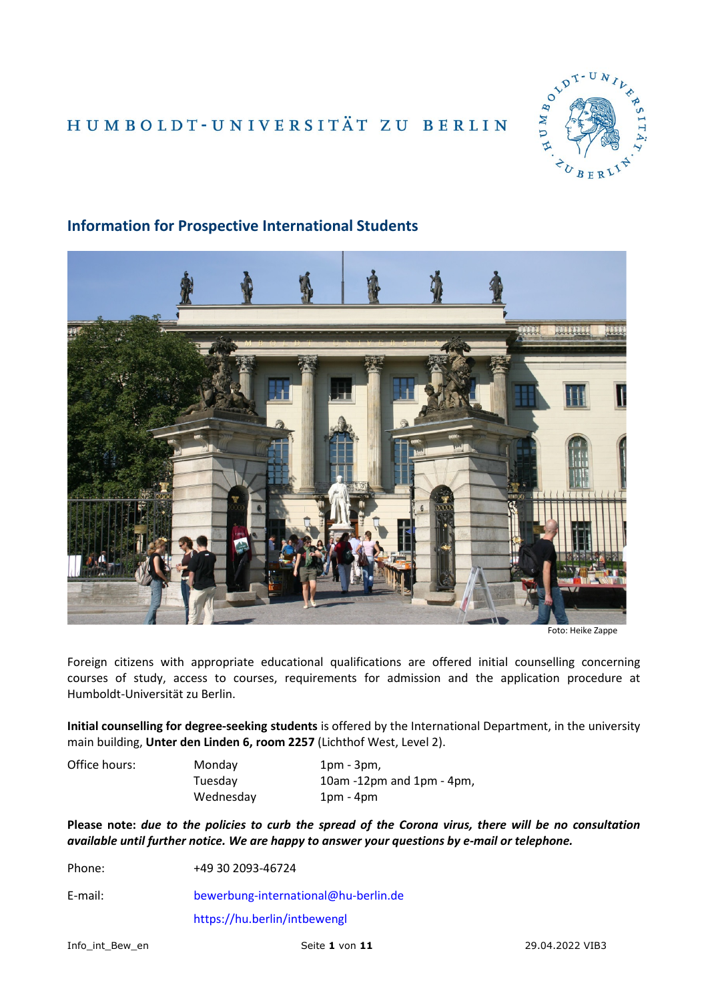# HUMBOLDT-UNIVERSITÄT ZU BERLIN





# **Information for Prospective International Students**

Foreign citizens with appropriate educational qualifications are offered initial counselling concerning courses of study, access to courses, requirements for admission and the application procedure at Humboldt-Universität zu Berlin.

**Initial counselling for degree-seeking students** is offered by the International Department, in the university main building, **Unter den Linden 6, room 2257** (Lichthof West, Level 2).

Office hours: Monday 1pm - 3pm, Tuesday 10am -12pm and 1pm - 4pm, Wednesday 1pm - 4pm

**Please note:** *due to the policies to curb the spread of the Corona virus, there will be no consultation available until further notice. We are happy to answer your questions by e-mail or telephone.*

Phone: +49 30 2093-46724

E-mail: [bewerbung-international@hu-berlin.de](mailto:bewerbung-international@hu-berlin.de)

<https://hu.berlin/intbewengl>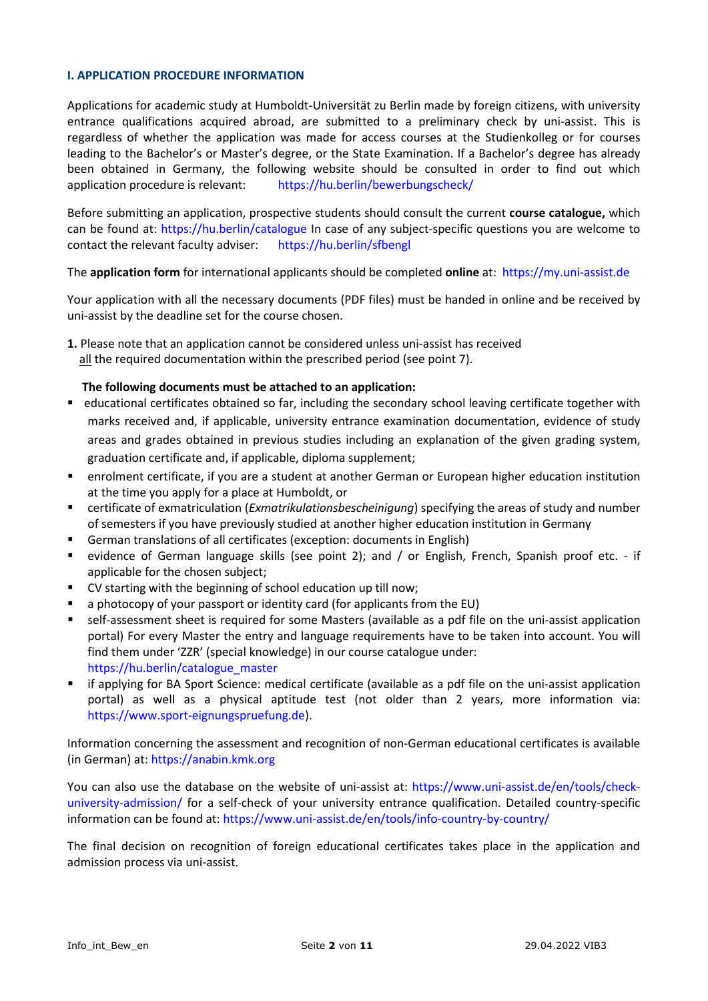### **I. APPLICATION PROCEDURE INFORMATION**

Applications for academic study at Humboldt-Universität zu Berlin made by foreign citizens, with university entrance qualifications acquired abroad, are submitted to a preliminary check by uni-assist. This is regardless of whether the application was made for access courses at the Studienkolleg or for courses leading to the Bachelor's or Master's degree, or the State Examination. If a Bachelor's degree has already been obtained in Germany, the following website should be consulted in order to find out which application procedure is relevant: <https://hu.berlin/bewerbungscheck/>

Before submitting an application, prospective students should consult the current **course catalogue,** which can be found at:<https://hu.berlin/catalogue> In case of any subject-specific questions you are welcome to contact the relevant faculty adviser: <https://hu.berlin/sfbengl>

# The **application form** for international applicants should be completed **online** at:[https://my.uni-assist.de](https://my.uni-assist.de/)

Your application with all the necessary documents (PDF files) must be handed in online and be received by uni-assist by the deadline set for the course chosen.

**1.** Please note that an application cannot be considered unless uni-assist has received all the required documentation within the prescribed period (see point 7).

# **The following documents must be attached to an application:**

- educational certificates obtained so far, including the secondary school leaving certificate together with marks received and, if applicable, university entrance examination documentation, evidence of study areas and grades obtained in previous studies including an explanation of the given grading system, graduation certificate and, if applicable, diploma supplement;
- enrolment certificate, if you are a student at another German or European higher education institution at the time you apply for a place at Humboldt, or
- certificate of exmatriculation (*Exmatrikulationsbescheinigung*) specifying the areas of study and number of semesters if you have previously studied at another higher education institution in Germany
- German translations of all certificates (exception: documents in English)
- evidence of German language skills (see point 2); and / or English, French, Spanish proof etc. if applicable for the chosen subject;
- CV starting with the beginning of school education up till now;
- a photocopy of your passport or identity card (for applicants from the EU)
- self-assessment sheet is required for some Masters (available as a pdf file on the uni-assist application portal) For every Master the entry and language requirements have to be taken into account. You will find them under 'ZZR' (special knowledge) in our course catalogue under: [https://hu.berlin/catalogue\\_master](https://www.hu-berlin.de/en/studies/counselling/course-catalogue/master)
- if applying for BA Sport Science: medical certificate (available as a pdf file on the uni-assist application portal) as well as a physical aptitude test (not older than 2 years, more information via: [https://www.sport-eignungspruefung.de\)](https://www.sport-eignungspruefung.de/).

Information concerning the assessment and recognition of non-German educational certificates is available (in German) at: [https://anabin.kmk.org](https://anabin.kmk.org/)

You can also use the database on the website of uni-assist at: [https://www.uni-assist.de/en/tools/check](https://www.uni-assist.de/en/tools/check-university-admission/)[university-admission/](https://www.uni-assist.de/en/tools/check-university-admission/) for a self-check of your university entrance qualification. Detailed country-specific information can be found at[: https://www.uni-assist.de/en/tools/info-country-by-country/](https://www.uni-assist.de/en/tools/info-country-by-country/)

The final decision on recognition of foreign educational certificates takes place in the application and admission process via uni-assist.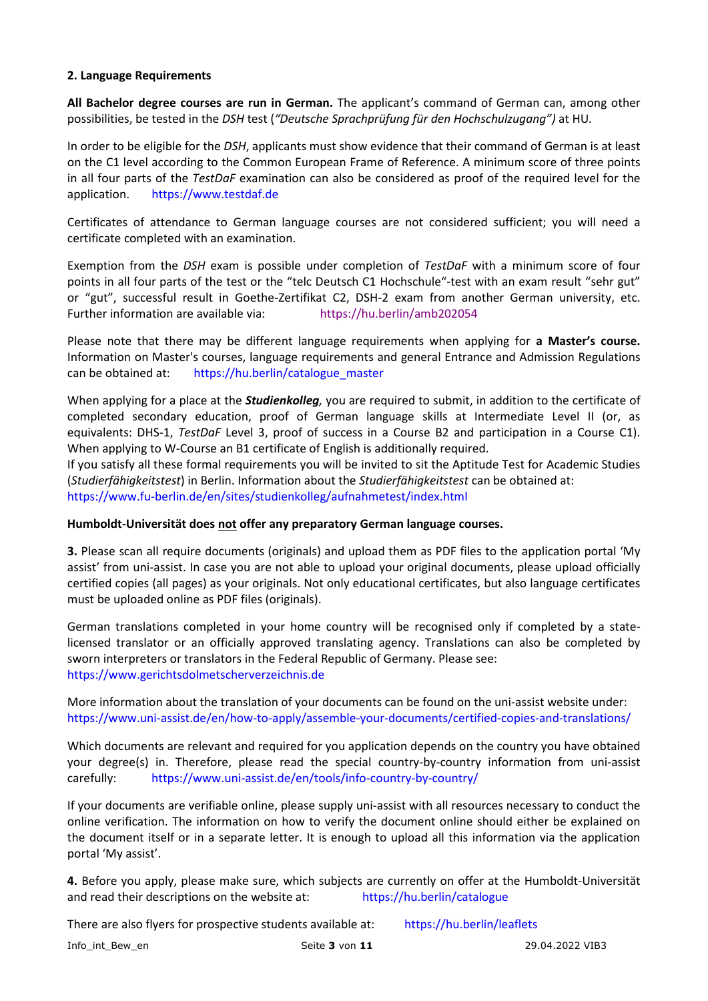# **2. Language Requirements**

**All Bachelor degree courses are run in German.** The applicant's command of German can, among other possibilities, be tested in the *DSH* test (*"Deutsche Sprachprüfung für den Hochschulzugang")* at HU*.*

In order to be eligible for the *DSH*, applicants must show evidence that their command of German is at least on the C1 level according to the Common European Frame of Reference. A minimum score of three points in all four parts of the *TestDaF* examination can also be considered as proof of the required level for the application. [https://www.testdaf.de](https://www.testdaf.de/)

Certificates of attendance to German language courses are not considered sufficient; you will need a certificate completed with an examination.

Exemption from the *DSH* exam is possible under completion of *TestDaF* with a minimum score of four points in all four parts of the test or the "telc Deutsch C1 Hochschule"-test with an exam result "sehr gut" or "gut", successful result in Goethe-Zertifikat C2, DSH-2 exam from another German university, etc. Further information are available via: <https://hu.berlin/amb202054>

Please note that there may be different language requirements when applying for **a Master's course.** Information on Master's courses, language requirements and general Entrance and Admission Regulations can be obtained at: [https://hu.berlin/catalogue\\_master](https://www.hu-berlin.de/en/studies/counselling/course-catalogue/master)

When applying for a place at the *Studienkolleg,* you are required to submit, in addition to the certificate of completed secondary education, proof of German language skills at Intermediate Level II (or, as equivalents: DHS-1, *TestDaF* Level 3, proof of success in a Course B2 and participation in a Course C1). When applying to W-Course an B1 certificate of English is additionally required.

If you satisfy all these formal requirements you will be invited to sit the Aptitude Test for Academic Studies (*Studierfähigkeitstest*) in Berlin. Information about the *Studierfähigkeitstest* can be obtained at: <https://www.fu-berlin.de/en/sites/studienkolleg/aufnahmetest/index.html>

# **Humboldt-Universität does not offer any preparatory German language courses.**

**3.** Please scan all require documents (originals) and upload them as PDF files to the application portal 'My assist' from uni-assist. In case you are not able to upload your original documents, please upload officially certified copies (all pages) as your originals. Not only educational certificates, but also language certificates must be uploaded online as PDF files (originals).

German translations completed in your home country will be recognised only if completed by a statelicensed translator or an officially approved translating agency. Translations can also be completed by sworn interpreters or translators in the Federal Republic of Germany. Please see: [https://www.gerichtsdolmetscherverzeichnis.de](https://www.gerichtsdolmetscherverzeichnis.de/)

More information about the translation of your documents can be found on the uni-assist website under: <https://www.uni-assist.de/en/how-to-apply/assemble-your-documents/certified-copies-and-translations/>

Which documents are relevant and required for you application depends on the country you have obtained your degree(s) in. Therefore, please read the special country-by-country information from uni-assist carefully: <https://www.uni-assist.de/en/tools/info-country-by-country/>

If your documents are verifiable online, please supply uni-assist with all resources necessary to conduct the online verification. The information on how to verify the document online should either be explained on the document itself or in a separate letter. It is enough to upload all this information via the application portal 'My assist'.

**4.** Before you apply, please make sure, which subjects are currently on offer at the Humboldt-Universität and read their descriptions on the website at: [https://hu.berlin/catalogue](http://www.hu-berlin.de/en/studies/counselling/course-catalogue)

There are also flyers for prospective students available at: [https://hu.berlin/leaflets](http://www.hu-berlin.de/en/studies/counselling/leaflets)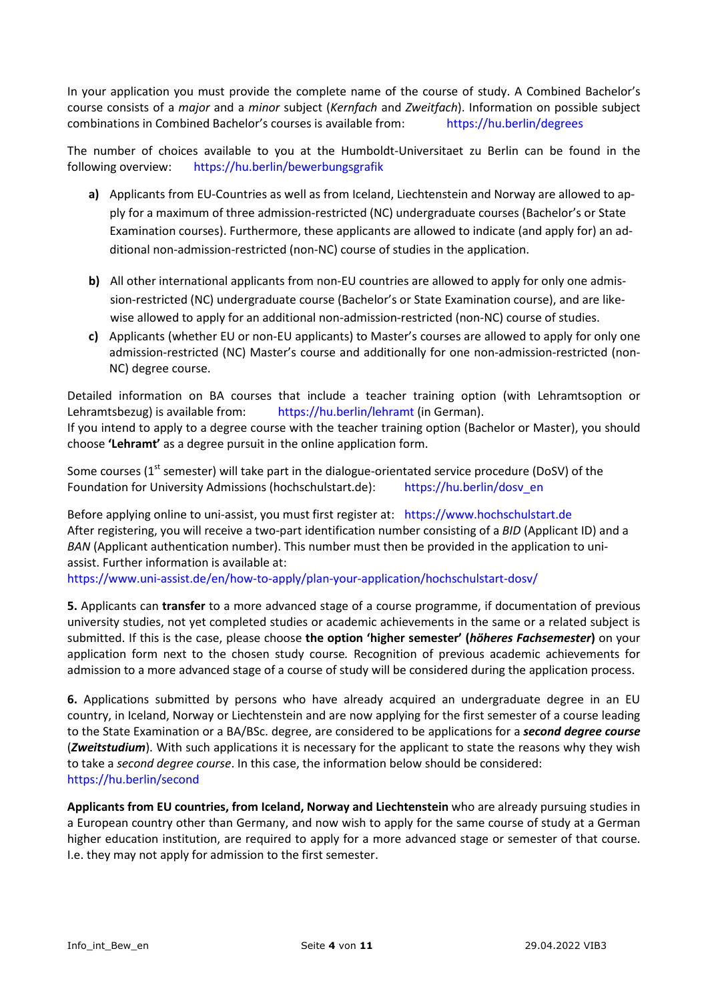In your application you must provide the complete name of the course of study. A Combined Bachelor's course consists of a *major* and a *minor* subject (*Kernfach* and *Zweitfach*). Information on possible subject combinations in Combined Bachelor's courses is available from: [https://hu.berlin/degrees](https://www.hu-berlin.de/en/studies/counselling/leaflets/ba_html?set_language=en&cl=en)

The number of choices available to you at the Humboldt-Universitaet zu Berlin can be found in the following overview: [https://hu.berlin/bewerbungsgrafik](https://www.hu-berlin.de/de/studium/compass/wie-bewerbe-ich-mich/grafik)

- **a)** Applicants from EU-Countries as well as from Iceland, Liechtenstein and Norway are allowed to apply for a maximum of three admission-restricted (NC) undergraduate courses (Bachelor's or State Examination courses). Furthermore, these applicants are allowed to indicate (and apply for) an additional non-admission-restricted (non-NC) course of studies in the application.
- **b)** All other international applicants from non-EU countries are allowed to apply for only one admission-restricted (NC) undergraduate course (Bachelor's or State Examination course), and are likewise allowed to apply for an additional non-admission-restricted (non-NC) course of studies.
- **c)** Applicants (whether EU or non-EU applicants) to Master's courses are allowed to apply for only one admission-restricted (NC) Master's course and additionally for one non-admission-restricted (non-NC) degree course.

Detailed information on BA courses that include a teacher training option (with Lehramtsoption or Lehramtsbezug) is available from: [https://hu.berlin/lehramt](https://www.hu-berlin.de/de/studium/beratung/merk/laba_html) (in German). If you intend to apply to a degree course with the teacher training option (Bachelor or Master), you should choose **'Lehramt'** as a degree pursuit in the online application form.

Some courses (1<sup>st</sup> semester) will take part in the dialogue-orientated service procedure (DoSV) of the Foundation for University Admissions (hochschulstart.de): [https://hu.berlin/dosv\\_en](https://www.hu-berlin.de/en/studies/compass.-the-central-information-service-en/dosv-en)

Before applying online to uni-assist, you must first register at: [https://www.hochschulstart.de](https://www.hochschulstart.de/) After registering, you will receive a two-part identification number consisting of a *BID* (Applicant ID) and a *BAN* (Applicant authentication number). This number must then be provided in the application to uniassist. Further information is available at:

<https://www.uni-assist.de/en/how-to-apply/plan-your-application/hochschulstart-dosv/>

**5.** Applicants can **transfer** to a more advanced stage of a course programme, if documentation of previous university studies, not yet completed studies or academic achievements in the same or a related subject is submitted. If this is the case, please choose **the option 'higher semester' (***höheres Fachsemester***)** on your application form next to the chosen study course*.* Recognition of previous academic achievements for admission to a more advanced stage of a course of study will be considered during the application process.

**6.** Applications submitted by persons who have already acquired an undergraduate degree in an EU country, in Iceland, Norway or Liechtenstein and are now applying for the first semester of a course leading to the State Examination or a BA/BSc. degree, are considered to be applications for a *second degree course* (*Zweitstudium*). With such applications it is necessary for the applicant to state the reasons why they wish to take a *second degree course*. In this case, the information below should be considered: [https://hu.berlin/second](https://www.hu-berlin.de/studies/beratung/merk/second_degree)

**Applicants from EU countries, from Iceland, Norway and Liechtenstein** who are already pursuing studies in a European country other than Germany, and now wish to apply for the same course of study at a German higher education institution, are required to apply for a more advanced stage or semester of that course. I.e. they may not apply for admission to the first semester.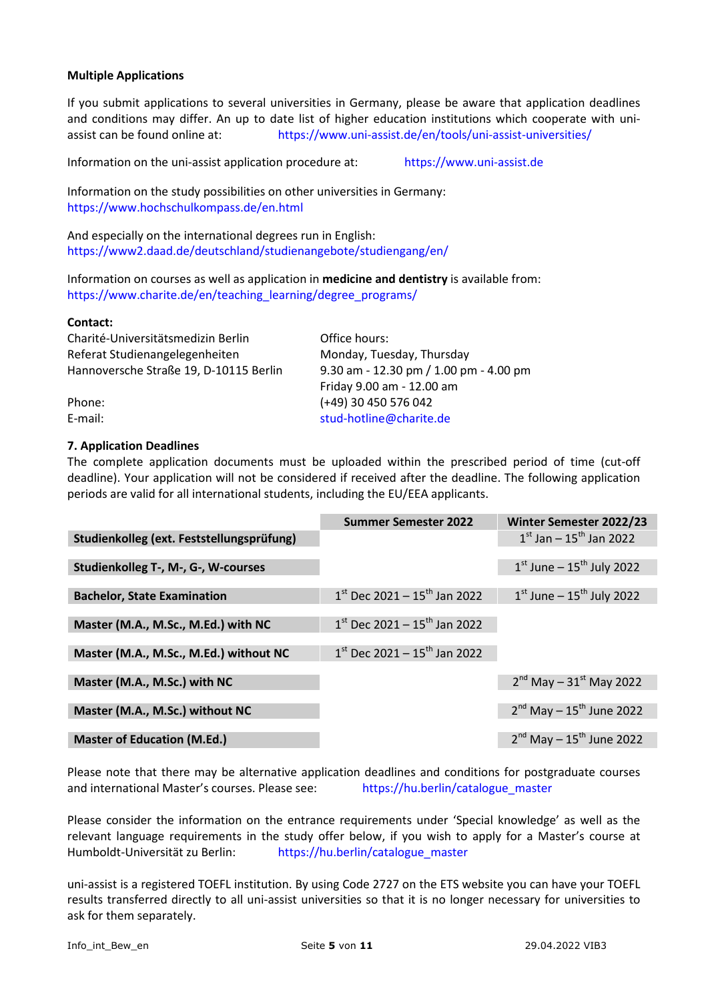# **Multiple Applications**

If you submit applications to several universities in Germany, please be aware that application deadlines and conditions may differ. An up to date list of higher education institutions which cooperate with uniassist can be found online at: <https://www.uni-assist.de/en/tools/uni-assist-universities/>

Information on the uni-assist application procedure at: [https://www.uni-assist.de](https://www.uni-assist.de/)

Information on the study possibilities on other universities in Germany: <https://www.hochschulkompass.de/en.html>

And especially on the international degrees run in English: https://www2.daad.de/deutschland/studienangebote/studiengang/en/

Information on courses as well as application in **medicine and dentistry** is available from: [https://www.charite.de/en/teaching\\_learning/degree\\_programs/](https://www.charite.de/en/teaching_learning/degree_programs/)

#### **Contact:**

Charité-Universitätsmedizin Berlin Office hours: Referat Studienangelegenheiten Monday, Tuesday, Thursday Hannoversche Straße 19, D-10115 Berlin 9.30 am - 12.30 pm / 1.00 pm - 4.00 pm

Friday 9.00 am - 12.00 am Phone: (+49) 30 450 576 042 E-mail: [stud-hotline@charite.de](mailto:stud-hotline@charite.de)

### **7. Application Deadlines**

The complete application documents must be uploaded within the prescribed period of time (cut-off deadline). Your application will not be considered if received after the deadline. The following application periods are valid for all international students, including the EU/EEA applicants.

|                                           | <b>Summer Semester 2022</b>                | Winter Semester 2022/23                   |
|-------------------------------------------|--------------------------------------------|-------------------------------------------|
| Studienkolleg (ext. Feststellungsprüfung) |                                            | $1^{st}$ Jan – $15^{th}$ Jan 2022         |
|                                           |                                            |                                           |
| Studienkolleg T-, M-, G-, W-courses       |                                            | $1st$ June – $15th$ July 2022             |
|                                           |                                            |                                           |
| <b>Bachelor, State Examination</b>        | $1st$ Dec 2021 – $15th$ Jan 2022           | $1st$ June – $15th$ July 2022             |
|                                           |                                            |                                           |
| Master (M.A., M.Sc., M.Ed.) with NC       | $1^{st}$ Dec 2021 - $15^{th}$ Jan 2022     |                                           |
|                                           |                                            |                                           |
| Master (M.A., M.Sc., M.Ed.) without NC    | $1st$ Dec 2021 – 15 <sup>th</sup> Jan 2022 |                                           |
|                                           |                                            |                                           |
| Master (M.A., M.Sc.) with NC              |                                            | $2^{nd}$ May – 31st May 2022              |
|                                           |                                            |                                           |
| Master (M.A., M.Sc.) without NC           |                                            | $2^{nd}$ May – 15 <sup>th</sup> June 2022 |
|                                           |                                            |                                           |
| <b>Master of Education (M.Ed.)</b>        |                                            | $2^{nd}$ May – 15 <sup>th</sup> June 2022 |

Please note that there may be alternative application deadlines and conditions for postgraduate courses and international Master's courses. Please see: [https://hu.berlin/catalogue\\_master](https://www.hu-berlin.de/en/studies/counselling/course-catalogue/master)

Please consider the information on the entrance requirements under 'Special knowledge' as well as the relevant language requirements in the study offer below, if you wish to apply for a Master's course at Humboldt-Universität zu Berlin: [https://hu.berlin/catalogue\\_master](https://www.hu-berlin.de/en/studies/counselling/course-catalogue/master)

uni-assist is a registered TOEFL institution. By using Code 2727 on the ETS website you can have your TOEFL results transferred directly to all uni-assist universities so that it is no longer necessary for universities to ask for them separately.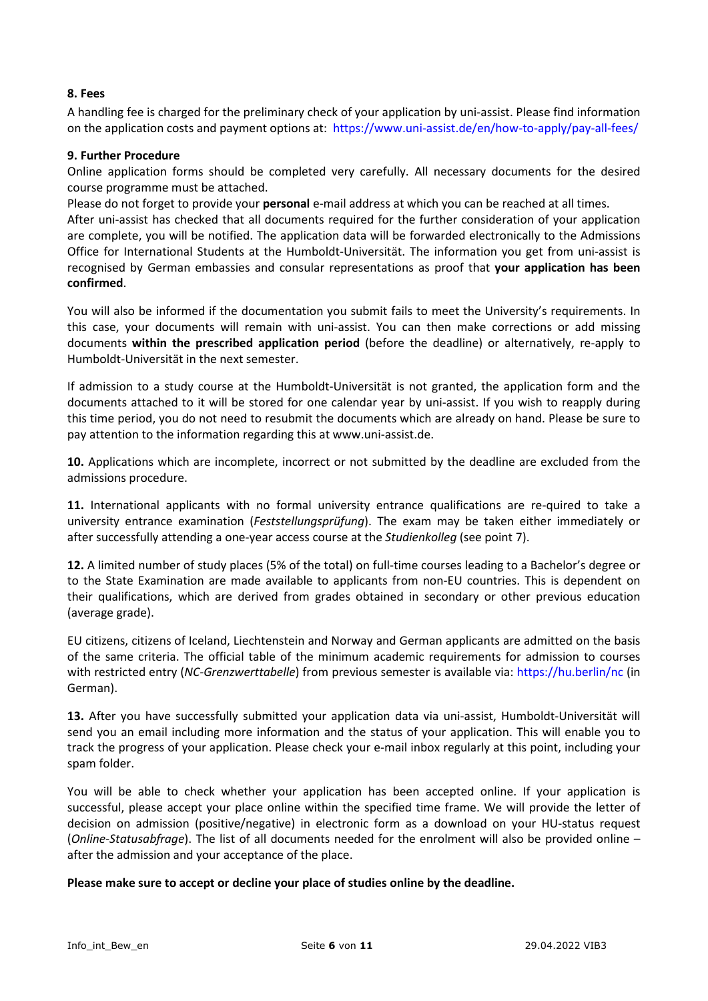# **8. Fees**

A handling fee is charged for the preliminary check of your application by uni-assist. Please find information on the application costs and payment options at: <https://www.uni-assist.de/en/how-to-apply/pay-all-fees/>

# **9. Further Procedure**

Online application forms should be completed very carefully. All necessary documents for the desired course programme must be attached.

Please do not forget to provide your **personal** e-mail address at which you can be reached at all times.

After uni-assist has checked that all documents required for the further consideration of your application are complete, you will be notified. The application data will be forwarded electronically to the Admissions Office for International Students at the Humboldt-Universität. The information you get from uni-assist is recognised by German embassies and consular representations as proof that **your application has been confirmed**.

You will also be informed if the documentation you submit fails to meet the University's requirements. In this case, your documents will remain with uni-assist. You can then make corrections or add missing documents **within the prescribed application period** (before the deadline) or alternatively, re-apply to Humboldt-Universität in the next semester.

If admission to a study course at the Humboldt-Universität is not granted, the application form and the documents attached to it will be stored for one calendar year by uni-assist. If you wish to reapply during this time period, you do not need to resubmit the documents which are already on hand. Please be sure to pay attention to the information regarding this at www.uni-assist.de.

**10.** Applications which are incomplete, incorrect or not submitted by the deadline are excluded from the admissions procedure.

**11.** International applicants with no formal university entrance qualifications are re-quired to take a university entrance examination (*Feststellungsprüfung*). The exam may be taken either immediately or after successfully attending a one-year access course at the *Studienkolleg* (see point 7).

**12.** A limited number of study places (5% of the total) on full-time courses leading to a Bachelor's degree or to the State Examination are made available to applicants from non-EU countries. This is dependent on their qualifications, which are derived from grades obtained in secondary or other previous education (average grade).

EU citizens, citizens of Iceland, Liechtenstein and Norway and German applicants are admitted on the basis of the same criteria. The official table of the minimum academic requirements for admission to courses with restricted entry (*NC-Grenzwerttabelle*) from previous semester is available via: [https://hu.berlin/nc](http://studium.hu-berlin.de/beratung/merk/grenzws) (in German).

**13.** After you have successfully submitted your application data via uni-assist, Humboldt-Universität will send you an email including more information and the status of your application. This will enable you to track the progress of your application. Please check your e-mail inbox regularly at this point, including your spam folder.

You will be able to check whether your application has been accepted online. If your application is successful, please accept your place online within the specified time frame. We will provide the letter of decision on admission (positive/negative) in electronic form as a download on your HU-status request (*Online-Statusabfrage*). The list of all documents needed for the enrolment will also be provided online – after the admission and your acceptance of the place.

**Please make sure to accept or decline your place of studies online by the deadline.**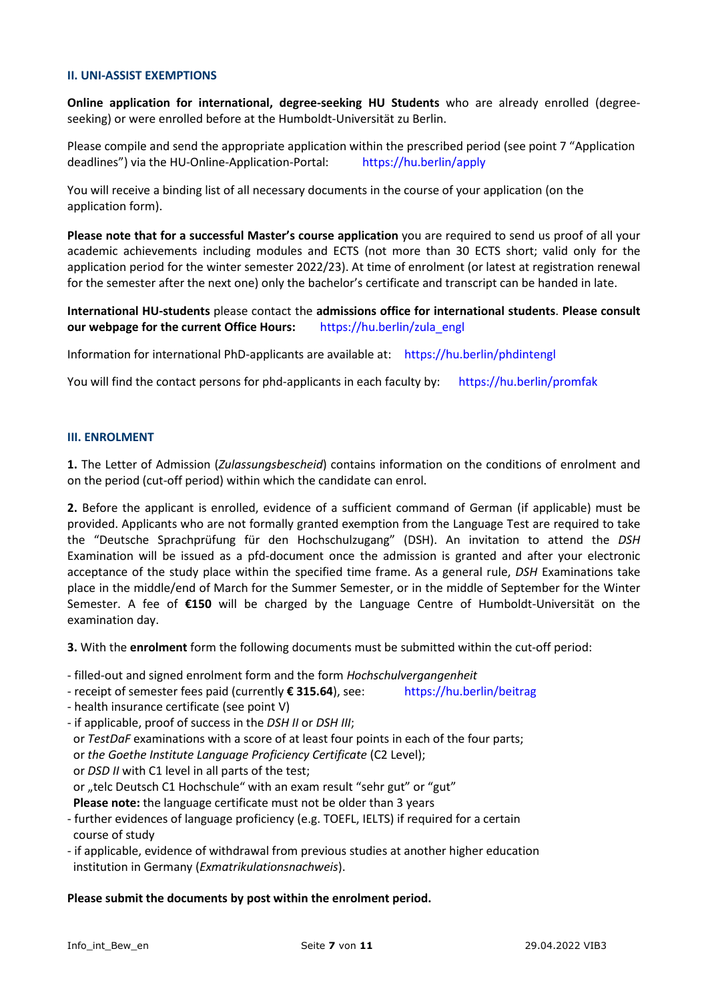#### **II. UNI-ASSIST EXEMPTIONS**

**Online application for international, degree-seeking HU Students** who are already enrolled (degreeseeking) or were enrolled before at the Humboldt-Universität zu Berlin.

Please compile and send the appropriate application within the prescribed period (see point 7 "Application deadlines") via the HU-Online-Application-Portal: [https://hu.berlin/apply](https://www.hu-berlin.de/en/studies/compass.-the-central-information-service-en/wie-en)

You will receive a binding list of all necessary documents in the course of your application (on the application form).

**Please note that for a successful Master's course application** you are required to send us proof of all your academic achievements including modules and ECTS (not more than 30 ECTS short; valid only for the application period for the winter semester 2022/23). At time of enrolment (or latest at registration renewal for the semester after the next one) only the bachelor's certificate and transcript can be handed in late.

**International HU-students** please contact the **admissions office for international students**. **Please consult our webpage for the current Office Hours:** [https://hu.berlin/zula\\_engl](https://hu.berlin/zula_engl)

Information for international PhD-applicants are available at: <https://hu.berlin/phdintengl>

You will find the contact persons for phd-applicants in each faculty by: <https://hu.berlin/promfak>

#### **III. ENROLMENT**

**1.** The Letter of Admission (*Zulassungsbescheid*) contains information on the conditions of enrolment and on the period (cut-off period) within which the candidate can enrol.

**2.** Before the applicant is enrolled, evidence of a sufficient command of German (if applicable) must be provided. Applicants who are not formally granted exemption from the Language Test are required to take the "Deutsche Sprachprüfung für den Hochschulzugang" (DSH). An invitation to attend the *DSH* Examination will be issued as a pfd-document once the admission is granted and after your electronic acceptance of the study place within the specified time frame. As a general rule, *DSH* Examinations take place in the middle/end of March for the Summer Semester, or in the middle of September for the Winter Semester. A fee of **€150** will be charged by the Language Centre of Humboldt-Universität on the examination day.

**3.** With the **enrolment** form the following documents must be submitted within the cut-off period:

- filled-out and signed enrolment form and the form *Hochschulvergangenheit*
- receipt of semester fees paid (currently **€ 315.64**), see: <https://hu.berlin/beitrag>
- health insurance certificate (see point V)
- if applicable, proof of success in the *DSH II* or *DSH III*;
- or *TestDaF* examinations with a score of at least four points in each of the four parts;
- or *the Goethe Institute Language Proficiency Certificate* (C2 Level);
- or *DSD II* with C1 level in all parts of the test;
- or "telc Deutsch C1 Hochschule" with an exam result "sehr gut" or "gut"
- **Please note:** the language certificate must not be older than 3 years
- further evidences of language proficiency (e.g. TOEFL, IELTS) if required for a certain course of study
- if applicable, evidence of withdrawal from previous studies at another higher education institution in Germany (*Exmatrikulationsnachweis*).

# **Please submit the documents by post within the enrolment period.**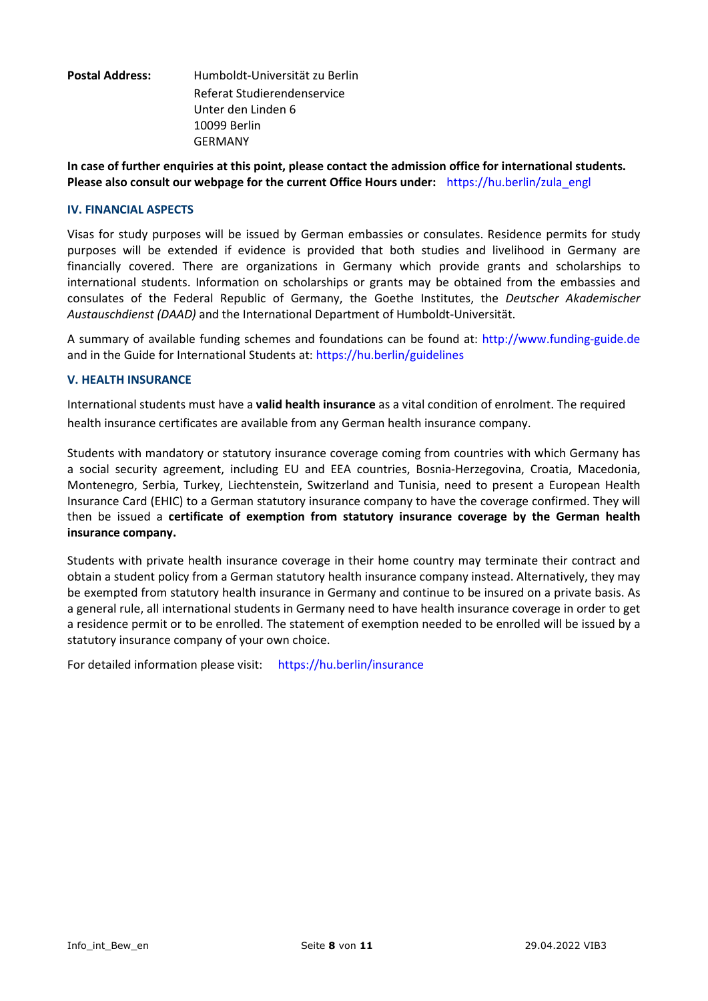| <b>Postal Address:</b> | Humboldt-Universität zu Berlin |
|------------------------|--------------------------------|
|                        | Referat Studierendenservice    |
|                        | Unter den Linden 6             |
|                        | 10099 Berlin                   |
|                        | GERMANY                        |

**In case of further enquiries at this point, please contact the admission office for international students. Please also consult our webpage for the current Office Hours under:** [https://hu.berlin/zula\\_engl](https://hu.berlin/zula_engl)

#### **IV. FINANCIAL ASPECTS**

Visas for study purposes will be issued by German embassies or consulates. Residence permits for study purposes will be extended if evidence is provided that both studies and livelihood in Germany are financially covered. There are organizations in Germany which provide grants and scholarships to international students. Information on scholarships or grants may be obtained from the embassies and consulates of the Federal Republic of Germany, the Goethe Institutes, the *Deutscher Akademischer Austauschdienst (DAAD)* and the International Department of Humboldt-Universität.

A summary of available funding schemes and foundations can be found at: [http://www.funding-guide.de](http://www.funding-guide.de/) and in the Guide for International Students at: [https://hu.berlin/guidelines](https://www.international.hu-berlin.de/en/studierende/aus-dem-ausland/wegweiser)

### **V. HEALTH INSURANCE**

International students must have a **valid health insurance** as a vital condition of enrolment. The required health insurance certificates are available from any German health insurance company.

Students with mandatory or statutory insurance coverage coming from countries with which Germany has a social security agreement, including EU and EEA countries, Bosnia-Herzegovina, Croatia, Macedonia, Montenegro, Serbia, Turkey, Liechtenstein, Switzerland and Tunisia, need to present a European Health Insurance Card (EHIC) to a German statutory insurance company to have the coverage confirmed. They will then be issued a **certificate of exemption from statutory insurance coverage by the German health insurance company.**

Students with private health insurance coverage in their home country may terminate their contract and obtain a student policy from a German statutory health insurance company instead. Alternatively, they may be exempted from statutory health insurance in Germany and continue to be insured on a private basis. As a general rule, all international students in Germany need to have health insurance coverage in order to get a residence permit or to be enrolled. The statement of exemption needed to be enrolled will be issued by a statutory insurance company of your own choice.

For detailed information please visit: [https://hu.berlin/insurance](https://www.hu-berlin.de/de/studium/bewerbung/imma/krankenversicherung/)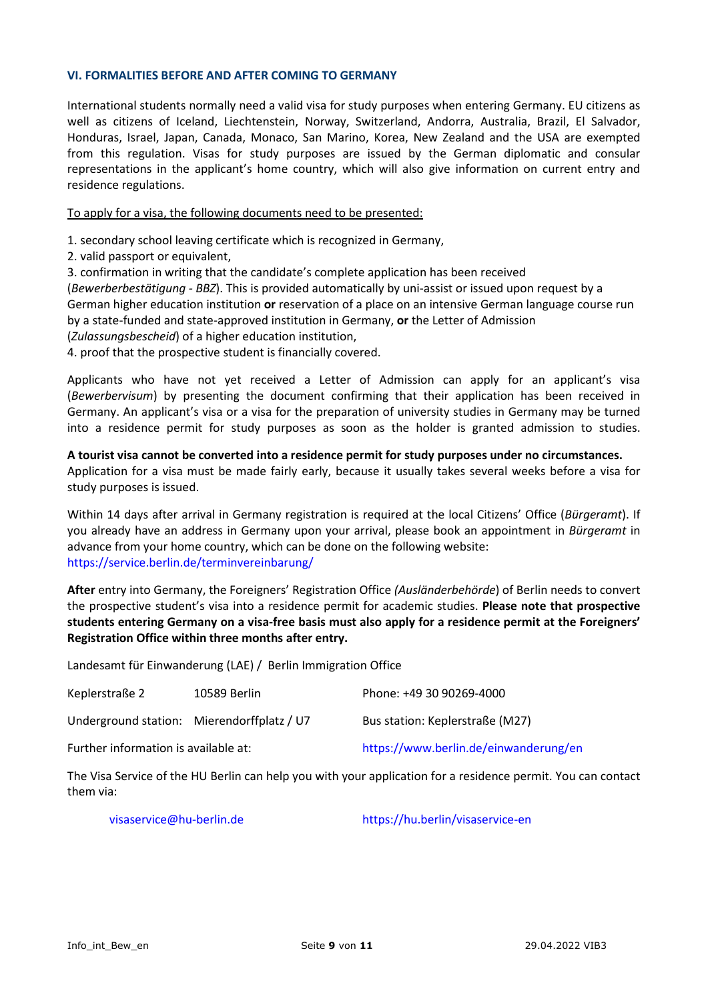#### **VI. FORMALITIES BEFORE AND AFTER COMING TO GERMANY**

International students normally need a valid visa for study purposes when entering Germany. EU citizens as well as citizens of Iceland, Liechtenstein, Norway, Switzerland, Andorra, Australia, Brazil, El Salvador, Honduras, Israel, Japan, Canada, Monaco, San Marino, Korea, New Zealand and the USA are exempted from this regulation. Visas for study purposes are issued by the German diplomatic and consular representations in the applicant's home country, which will also give information on current entry and residence regulations.

# To apply for a visa, the following documents need to be presented:

1. secondary school leaving certificate which is recognized in Germany,

2. valid passport or equivalent,

3. confirmation in writing that the candidate's complete application has been received

(*Bewerberbestätigung - BBZ*). This is provided automatically by uni-assist or issued upon request by a

German higher education institution **or** reservation of a place on an intensive German language course run by a state-funded and state-approved institution in Germany, **or** the Letter of Admission

(*Zulassungsbescheid*) of a higher education institution,

4. proof that the prospective student is financially covered.

Applicants who have not yet received a Letter of Admission can apply for an applicant's visa (*Bewerbervisum*) by presenting the document confirming that their application has been received in Germany. An applicant's visa or a visa for the preparation of university studies in Germany may be turned into a residence permit for study purposes as soon as the holder is granted admission to studies.

# **A tourist visa cannot be converted into a residence permit for study purposes under no circumstances.**

Application for a visa must be made fairly early, because it usually takes several weeks before a visa for study purposes is issued.

Within 14 days after arrival in Germany registration is required at the local Citizens' Office (*Bürgeramt*). If you already have an address in Germany upon your arrival, please book an appointment in *Bürgeramt* in advance from your home country, which can be done on the following website: <https://service.berlin.de/terminvereinbarung/>

**After** entry into Germany, the Foreigners' Registration Office *(Ausländerbehörde*) of Berlin needs to convert the prospective student's visa into a residence permit for academic studies. **Please note that prospective students entering Germany on a visa-free basis must also apply for a residence permit at the Foreigners' Registration Office within three months after entry.**

Landesamt für Einwanderung (LAE) / Berlin Immigration Office

| Keplerstraße 2                             | 10589 Berlin | Phone: +49 30 90269-4000              |
|--------------------------------------------|--------------|---------------------------------------|
| Underground station: Mierendorffplatz / U7 |              | Bus station: Keplerstraße (M27)       |
| Further information is available at:       |              | https://www.berlin.de/einwanderung/en |

The Visa Service of the HU Berlin can help you with your application for a residence permit. You can contact them via:

[visaservice@hu-berlin.de](mailto:visaservice@hu-berlin.de) <https://hu.berlin/visaservice-en>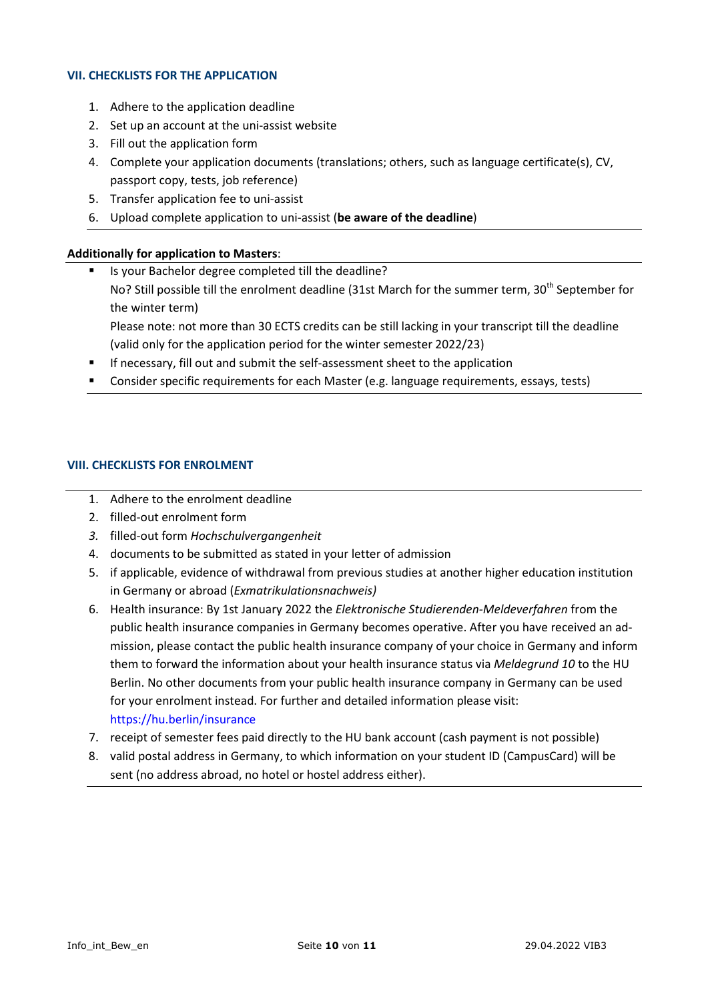### **VII. CHECKLISTS FOR THE APPLICATION**

- 1. Adhere to the application deadline
- 2. Set up an account at the uni-assist website
- 3. Fill out the application form
- 4. Complete your application documents (translations; others, such as language certificate(s), CV, passport copy, tests, job reference)
- 5. Transfer application fee to uni-assist
- 6. Upload complete application to uni-assist (**be aware of the deadline**)

# **Additionally for application to Masters**:

- Is your Bachelor degree completed till the deadline? No? Still possible till the enrolment deadline (31st March for the summer term, 30<sup>th</sup> September for the winter term) Please note: not more than 30 ECTS credits can be still lacking in your transcript till the deadline
	- (valid only for the application period for the winter semester 2022/23)
- **If necessary, fill out and submit the self-assessment sheet to the application**
- Consider specific requirements for each Master (e.g. language requirements, essays, tests)

# **VIII. CHECKLISTS FOR ENROLMENT**

- 1. Adhere to the enrolment deadline
- 2. filled-out enrolment form
- *3.* filled-out form *Hochschulvergangenheit*
- 4. documents to be submitted as stated in your letter of admission
- 5. if applicable, evidence of withdrawal from previous studies at another higher education institution in Germany or abroad (*Exmatrikulationsnachweis)*
- 6. Health insurance: By 1st January 2022 the *Elektronische Studierenden-Meldeverfahren* from the public health insurance companies in Germany becomes operative. After you have received an admission, please contact the public health insurance company of your choice in Germany and inform them to forward the information about your health insurance status via *Meldegrund 10* to the HU Berlin. No other documents from your public health insurance company in Germany can be used for your enrolment instead. For further and detailed information please visit: <https://hu.berlin/insurance>
- 7. receipt of semester fees paid directly to the HU bank account (cash payment is not possible)
- 8. valid postal address in Germany, to which information on your student ID (CampusCard) will be sent (no address abroad, no hotel or hostel address either).